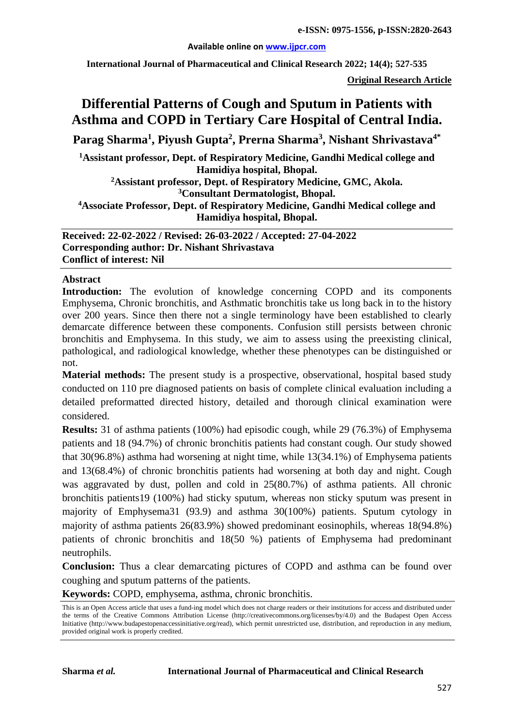#### **Available online on [www.ijpcr.com](http://www.ijpcr.com/)**

**International Journal of Pharmaceutical and Clinical Research 2022; 14(4); 527-535**

**Original Research Article**

# **Differential Patterns of Cough and Sputum in Patients with Asthma and COPD in Tertiary Care Hospital of Central India.**

**Parag Sharma<sup>1</sup> , Piyush Gupta2 , Prerna Sharma<sup>3</sup> , Nishant Shrivastava4\***

**1Assistant professor, Dept. of Respiratory Medicine, Gandhi Medical college and Hamidiya hospital, Bhopal.**

**2Assistant professor, Dept. of Respiratory Medicine, GMC, Akola. 3Consultant Dermatologist, Bhopal.**

**4Associate Professor, Dept. of Respiratory Medicine, Gandhi Medical college and Hamidiya hospital, Bhopal.**

**Received: 22-02-2022 / Revised: 26-03-2022 / Accepted: 27-04-2022 Corresponding author: Dr. Nishant Shrivastava Conflict of interest: Nil**

#### **Abstract**

**Introduction:** The evolution of knowledge concerning COPD and its components Emphysema, Chronic bronchitis, and Asthmatic bronchitis take us long back in to the history over 200 years. Since then there not a single terminology have been established to clearly demarcate difference between these components. Confusion still persists between chronic bronchitis and Emphysema. In this study, we aim to assess using the preexisting clinical, pathological, and radiological knowledge, whether these phenotypes can be distinguished or not.

**Material methods:** The present study is a prospective, observational, hospital based study conducted on 110 pre diagnosed patients on basis of complete clinical evaluation including a detailed preformatted directed history, detailed and thorough clinical examination were considered.

**Results:** 31 of asthma patients (100%) had episodic cough, while 29 (76.3%) of Emphysema patients and 18 (94.7%) of chronic bronchitis patients had constant cough. Our study showed that 30(96.8%) asthma had worsening at night time, while 13(34.1%) of Emphysema patients and 13(68.4%) of chronic bronchitis patients had worsening at both day and night. Cough was aggravated by dust, pollen and cold in 25(80.7%) of asthma patients. All chronic bronchitis patients19 (100%) had sticky sputum, whereas non sticky sputum was present in majority of Emphysema31 (93.9) and asthma 30(100%) patients. Sputum cytology in majority of asthma patients 26(83.9%) showed predominant eosinophils, whereas 18(94.8%) patients of chronic bronchitis and 18(50 %) patients of Emphysema had predominant neutrophils.

**Conclusion:** Thus a clear demarcating pictures of COPD and asthma can be found over coughing and sputum patterns of the patients.

**Keywords:** COPD, emphysema, asthma, chronic bronchitis.

This is an Open Access article that uses a fund-ing model which does not charge readers or their institutions for access and distributed under the terms of the Creative Commons Attribution License (http://creativecommons.org/licenses/by/4.0) and the Budapest Open Access Initiative (http://www.budapestopenaccessinitiative.org/read), which permit unrestricted use, distribution, and reproduction in any medium, provided original work is properly credited.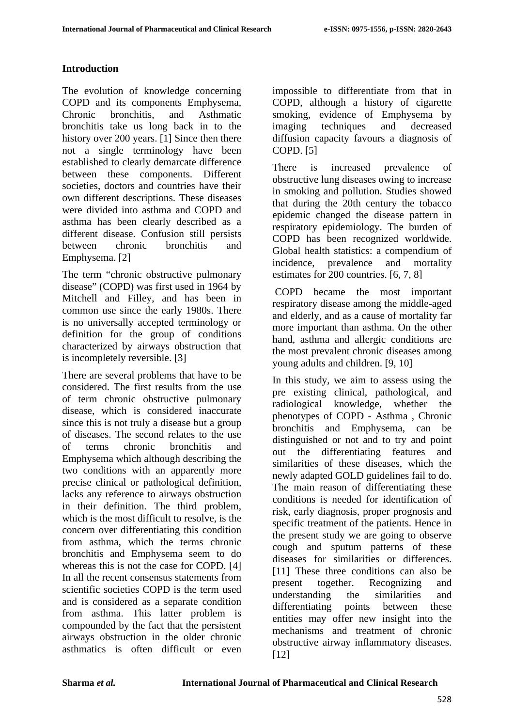### **Introduction**

The evolution of knowledge concerning COPD and its components Emphysema, Chronic bronchitis, and Asthmatic bronchitis take us long back in to the history over 200 years. [1] Since then there not a single terminology have been established to clearly demarcate difference between these components. Different societies, doctors and countries have their own different descriptions. These diseases were divided into asthma and COPD and asthma has been clearly described as a different disease. Confusion still persists between chronic bronchitis and Emphysema. [2]

The term "chronic obstructive pulmonary disease" (COPD) was first used in 1964 by Mitchell and Filley, and has been in common use since the early 1980s. There is no universally accepted terminology or definition for the group of conditions characterized by airways obstruction that is incompletely reversible. [3]

There are several problems that have to be considered. The first results from the use of term chronic obstructive pulmonary disease, which is considered inaccurate since this is not truly a disease but a group of diseases. The second relates to the use of terms chronic bronchitis and Emphysema which although describing the two conditions with an apparently more precise clinical or pathological definition, lacks any reference to airways obstruction in their definition. The third problem, which is the most difficult to resolve, is the concern over differentiating this condition from asthma, which the terms chronic bronchitis and Emphysema seem to do whereas this is not the case for COPD. [4] In all the recent consensus statements from scientific societies COPD is the term used and is considered as a separate condition from asthma. This latter problem is compounded by the fact that the persistent airways obstruction in the older chronic asthmatics is often difficult or even

impossible to differentiate from that in COPD, although a history of cigarette smoking, evidence of Emphysema by imaging techniques and decreased diffusion capacity favours a diagnosis of COPD. [5]

There is increased prevalence of obstructive lung diseases owing to increase in smoking and pollution. Studies showed that during the 20th century the tobacco epidemic changed the disease pattern in respiratory epidemiology. The burden of COPD has been recognized worldwide. Global health statistics: a compendium of incidence, prevalence and mortality estimates for 200 countries. [6, 7, 8]

COPD became the most important respiratory disease among the middle-aged and elderly, and as a cause of mortality far more important than asthma. On the other hand, asthma and allergic conditions are the most prevalent chronic diseases among young adults and children. [9, 10]

In this study, we aim to assess using the pre existing clinical, pathological, and radiological knowledge, whether the phenotypes of COPD - Asthma , Chronic bronchitis and Emphysema, can be distinguished or not and to try and point out the differentiating features and similarities of these diseases, which the newly adapted GOLD guidelines fail to do. The main reason of differentiating these conditions is needed for identification of risk, early diagnosis, proper prognosis and specific treatment of the patients. Hence in the present study we are going to observe cough and sputum patterns of these diseases for similarities or differences. [11] These three conditions can also be present together. Recognizing and understanding the similarities and differentiating points between these entities may offer new insight into the mechanisms and treatment of chronic obstructive airway inflammatory diseases. [12]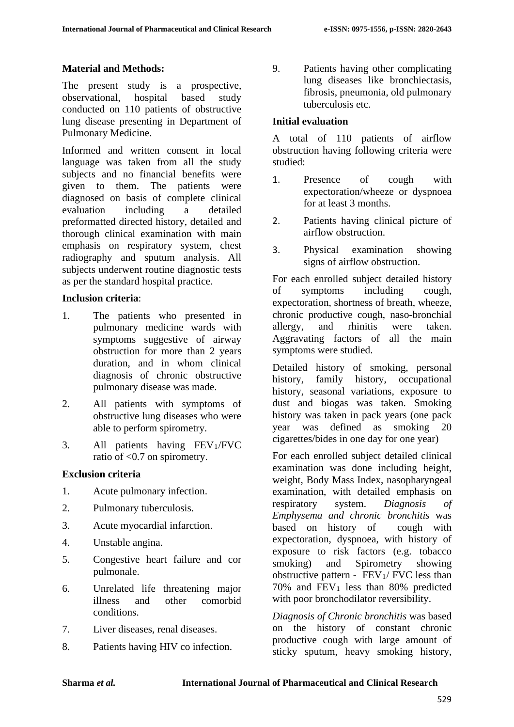#### **Material and Methods:**

The present study is a prospective, observational, hospital based study conducted on 110 patients of obstructive lung disease presenting in Department of Pulmonary Medicine.

Informed and written consent in local language was taken from all the study subjects and no financial benefits were given to them. The patients were diagnosed on basis of complete clinical evaluation including a detailed preformatted directed history, detailed and thorough clinical examination with main emphasis on respiratory system, chest radiography and sputum analysis. All subjects underwent routine diagnostic tests as per the standard hospital practice.

#### **Inclusion criteria**:

- 1. The patients who presented in pulmonary medicine wards with symptoms suggestive of airway obstruction for more than 2 years duration, and in whom clinical diagnosis of chronic obstructive pulmonary disease was made.
- 2. All patients with symptoms of obstructive lung diseases who were able to perform spirometry.
- 3. All patients having FEV1/FVC ratio of <0.7 on spirometry.

### **Exclusion criteria**

- 1. Acute pulmonary infection.
- 2. Pulmonary tuberculosis.
- 3. Acute myocardial infarction.
- 4. Unstable angina.
- 5. Congestive heart failure and cor pulmonale.
- 6. Unrelated life threatening major illness and other comorbid conditions.
- 7. Liver diseases, renal diseases.
- 8. Patients having HIV co infection.

9. Patients having other complicating lung diseases like bronchiectasis, fibrosis, pneumonia, old pulmonary tuberculosis etc.

#### **Initial evaluation**

A total of 110 patients of airflow obstruction having following criteria were studied:

- 1. Presence of cough with expectoration/wheeze or dyspnoea for at least 3 months.
- 2. Patients having clinical picture of airflow obstruction.
- 3. Physical examination showing signs of airflow obstruction.

For each enrolled subject detailed history of symptoms including cough, expectoration, shortness of breath, wheeze, chronic productive cough, naso-bronchial allergy, and rhinitis were taken. Aggravating factors of all the main symptoms were studied.

Detailed history of smoking, personal history, family history, occupational history, seasonal variations, exposure to dust and biogas was taken. Smoking history was taken in pack years (one pack year was defined as smoking 20 cigarettes/bides in one day for one year)

For each enrolled subject detailed clinical examination was done including height, weight, Body Mass Index, nasopharyngeal examination, with detailed emphasis on respiratory system. *Diagnosis of Emphysema and chronic bronchitis* was based on history of cough with expectoration, dyspnoea, with history of exposure to risk factors (e.g. tobacco smoking) and Spirometry showing obstructive pattern -  $FEV<sub>1</sub>/FVC$  less than 70% and  $FEV_1$  less than 80% predicted with poor bronchodilator reversibility.

*Diagnosis of Chronic bronchitis* was based on the history of constant chronic productive cough with large amount of sticky sputum, heavy smoking history,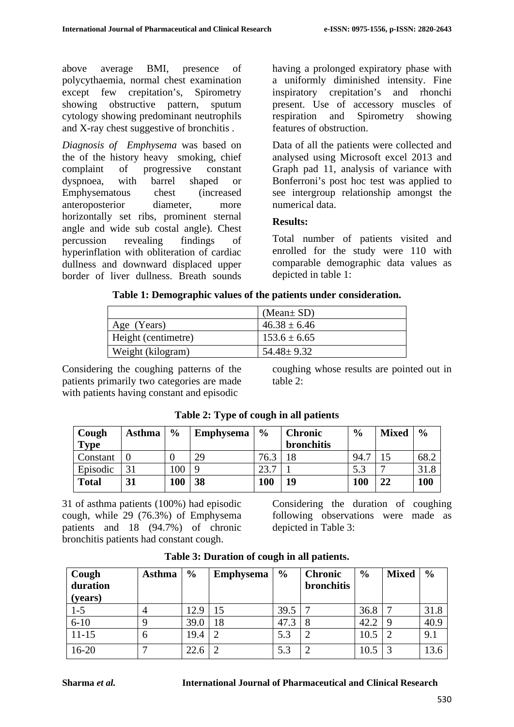above average BMI, presence of polycythaemia, normal chest examination except few crepitation's, Spirometry showing obstructive pattern, sputum cytology showing predominant neutrophils and X-ray chest suggestive of bronchitis .

*Diagnosis of Emphysema* was based on the of the history heavy smoking, chief complaint of progressive constant dyspnoea, with barrel shaped or Emphysematous chest (increased anteroposterior diameter, more horizontally set ribs, prominent sternal angle and wide sub costal angle). Chest percussion revealing findings of hyperinflation with obliteration of cardiac dullness and downward displaced upper border of liver dullness. Breath sounds having a prolonged expiratory phase with a uniformly diminished intensity. Fine inspiratory crepitation's and rhonchi present. Use of accessory muscles of respiration and Spirometry showing features of obstruction.

Data of all the patients were collected and analysed using Microsoft excel 2013 and Graph pad 11, analysis of variance with Bonferroni's post hoc test was applied to see intergroup relationship amongst the numerical data.

### **Results:**

Total number of patients visited and enrolled for the study were 110 with comparable demographic data values as depicted in table 1:

| Table 1: Demographic values of the patients under consideration. |  |
|------------------------------------------------------------------|--|
|------------------------------------------------------------------|--|

|                     | (Mean $\pm$ SD)  |
|---------------------|------------------|
| Age (Years)         | $46.38 \pm 6.46$ |
| Height (centimetre) | $153.6 \pm 6.65$ |
| Weight (kilogram)   | $54.48 + 9.32$   |

Considering the coughing patterns of the patients primarily two categories are made with patients having constant and episodic

coughing whose results are pointed out in table 2:

| Cough        | <b>Asthma</b> | $\frac{0}{0}$    | <b>Emphysema</b> | $\frac{6}{9}$ | <b>Chronic</b> | $\frac{6}{9}$ | <b>Mixed</b> | $\frac{6}{9}$ |
|--------------|---------------|------------------|------------------|---------------|----------------|---------------|--------------|---------------|
| <b>Type</b>  |               |                  |                  |               | bronchitis     |               |              |               |
| Constant     |               |                  | 29               | 76.3          |                | 94.7          |              | 68.2          |
| Episodic     | 31            | 100 <sub>1</sub> |                  | 23.7          |                | 5.3           | −            | 31.8          |
| <b>Total</b> | 31            | 100              | 38               | <b>100</b>    | 19             | 100           | 22           | 100           |

**Table 2: Type of cough in all patients**

31 of asthma patients (100%) had episodic cough, while 29 (76.3%) of Emphysema patients and 18 (94.7%) of chronic bronchitis patients had constant cough.

Considering the duration of coughing following observations were made as depicted in Table 3:

| Cough<br>duration | <b>Asthma</b> | $\frac{6}{9}$ | <b>Emphysema</b> | $\frac{6}{9}$ | <b>Chronic</b><br><b>bronchitis</b> | $\frac{6}{9}$ | <b>Mixed</b> | $\frac{6}{9}$ |
|-------------------|---------------|---------------|------------------|---------------|-------------------------------------|---------------|--------------|---------------|
| (years)           |               |               |                  |               |                                     |               |              |               |
| $1 - 5$           | 4             | 12.9          | 15               | 39.5          |                                     | 36.8          |              | 31.8          |
| $6 - 10$          |               | 39.0          | 18               | 47.3          |                                     | 42.2          |              | 40.9          |
| $11 - 15$         | 6             | 19.4          |                  | 5.3           |                                     | 10.5          |              | 9.1           |
| $16 - 20$         |               | 22.6          |                  | 5.3           |                                     | 10.5          |              | 13.6          |

**Table 3: Duration of cough in all patients.**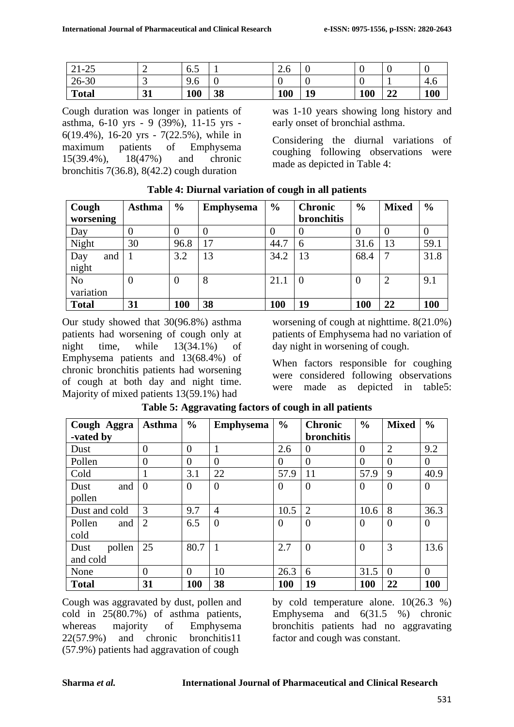| $21 - 25$    | ∼  | $\overline{\phantom{0}}$<br>0.J |    | $\sim$<br>$\sim$ $\sigma$ |    |     |          | v   |
|--------------|----|---------------------------------|----|---------------------------|----|-----|----------|-----|
| $26 - 30$    | ັ  | $\Omega$<br>9.0                 |    |                           |    |     |          | 4.6 |
| <b>Total</b> | 31 | 100                             | 38 | 100                       | 19 | 100 | າາ<br>44 | 100 |

Cough duration was longer in patients of asthma, 6-10 yrs - 9 (39%), 11-15 yrs - 6(19.4%), 16-20 yrs - 7(22.5%), while in maximum patients of Emphysema 15(39.4%), 18(47%) and chronic bronchitis 7(36.8), 8(42.2) cough duration

was 1-10 years showing long history and early onset of bronchial asthma.

Considering the diurnal variations of coughing following observations were made as depicted in Table 4:

| Cough                       | Asthma         | $\frac{0}{0}$ | <b>Emphysema</b> | $\frac{6}{6}$ | <b>Chronic</b> | $\frac{6}{6}$ | <b>Mixed</b>   | $\frac{6}{9}$ |
|-----------------------------|----------------|---------------|------------------|---------------|----------------|---------------|----------------|---------------|
| worsening                   |                |               |                  |               | bronchitis     |               |                |               |
| Day                         | 0              | 0             | $\theta$         | $\theta$      |                |               | 0              | 0             |
| Night                       | 30             | 96.8          | 17               | 44.7          | 6              | 31.6          | 13             | 59.1          |
| Day<br>and<br>night         |                | 3.2           | 13               | 34.2          | 13             | 68.4          | 7              | 31.8          |
| N <sub>o</sub><br>variation | $\overline{0}$ | 0             | 8                | 21.1          | $\Omega$       |               | $\overline{2}$ | 9.1           |
| <b>Total</b>                | 31             | 100           | 38               | 100           | 19             | 100           | 22             | <b>100</b>    |

**Table 4: Diurnal variation of cough in all patients**

Our study showed that 30(96.8%) asthma patients had worsening of cough only at night time, while 13(34.1%) of Emphysema patients and 13(68.4%) of chronic bronchitis patients had worsening of cough at both day and night time. Majority of mixed patients 13(59.1%) had

worsening of cough at nighttime. 8(21.0%) patients of Emphysema had no variation of day night in worsening of cough.

When factors responsible for coughing were considered following observations were made as depicted in table5:

| Cough Aggra    | <b>Asthma</b>  | $\frac{0}{0}$  | <b>Emphysema</b> | $\frac{6}{6}$  | <b>Chronic</b>    | $\frac{0}{0}$  | <b>Mixed</b>   | $\frac{0}{0}$ |
|----------------|----------------|----------------|------------------|----------------|-------------------|----------------|----------------|---------------|
| -vated by      |                |                |                  |                | <b>bronchitis</b> |                |                |               |
| Dust           | $\theta$       | $\overline{0}$ |                  | 2.6            | $\theta$          | $\overline{0}$ | $\overline{2}$ | 9.2           |
| Pollen         | $\Omega$       | $\overline{0}$ | $\Omega$         | $\overline{0}$ | $\theta$          | $\overline{0}$ | $\Omega$       | $\Omega$      |
| Cold           |                | 3.1            | 22               | 57.9           | 11                | 57.9           | 9              | 40.9          |
| and<br>Dust    | $\theta$       | $\overline{0}$ | $\overline{0}$   | $\theta$       | $\overline{0}$    | $\theta$       | $\overline{0}$ | $\theta$      |
| pollen         |                |                |                  |                |                   |                |                |               |
| Dust and cold  | 3              | 9.7            | 4                | 10.5           | $\overline{2}$    | 10.6           | 8              | 36.3          |
| Pollen<br>and  | $\overline{2}$ | 6.5            | $\overline{0}$   | $\theta$       | $\overline{0}$    | $\theta$       | $\theta$       | $\theta$      |
| cold           |                |                |                  |                |                   |                |                |               |
| pollen<br>Dust | 25             | 80.7           | 1                | 2.7            | $\theta$          | $\theta$       | 3              | 13.6          |
| and cold       |                |                |                  |                |                   |                |                |               |
| None           | $\overline{0}$ | $\overline{0}$ | 10               | 26.3           | 6                 | 31.5           | $\Omega$       | $\theta$      |
| <b>Total</b>   | 31             | <b>100</b>     | 38               | <b>100</b>     | 19                | <b>100</b>     | 22             | 100           |

**Table 5: Aggravating factors of cough in all patients**

Cough was aggravated by dust, pollen and cold in 25(80.7%) of asthma patients, whereas majority of Emphysema 22(57.9%) and chronic bronchitis11 (57.9%) patients had aggravation of cough

by cold temperature alone. 10(26.3 %) Emphysema and 6(31.5 %) chronic bronchitis patients had no aggravating factor and cough was constant.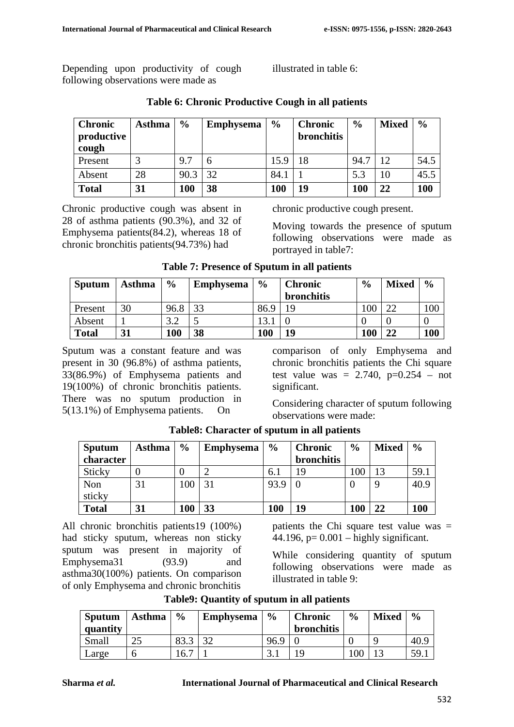Depending upon productivity of cough following observations were made as

illustrated in table 6:

| <b>Chronic</b><br>productive<br>cough | <b>Asthma</b> | $\frac{6}{6}$ | <b>Emphysema</b> | $\frac{6}{9}$ | <b>Chronic</b><br><b>bronchitis</b> | $\frac{0}{0}$ | <b>Mixed</b> | $\frac{6}{6}$ |
|---------------------------------------|---------------|---------------|------------------|---------------|-------------------------------------|---------------|--------------|---------------|
| Present                               |               | 9.7           |                  | 15.9          | 18                                  | 94.7          | 12.          | 54.5          |
| Absent                                | 28            | 90.3          | 32               | 84.1          |                                     | 5.3           | 10           | 45.5          |
| <b>Total</b>                          | 31            | 100           | 38               | 100           | 19                                  | 100           | 22           | 100           |

### **Table 6: Chronic Productive Cough in all patients**

Chronic productive cough was absent in 28 of asthma patients (90.3%), and 32 of Emphysema patients(84.2), whereas 18 of chronic bronchitis patients(94.73%) had

chronic productive cough present.

Moving towards the presence of sputum following observations were made as portrayed in table7:

| <b>Sputum</b> | Asthma | $\frac{6}{9}$ | <b>Emphysema</b> | $\frac{0}{0}$ | <b>Chronic</b>    | $\frac{6}{9}$ | <b>Mixed</b> | $\frac{6}{9}$ |
|---------------|--------|---------------|------------------|---------------|-------------------|---------------|--------------|---------------|
|               |        |               |                  |               | <b>bronchitis</b> |               |              |               |
| Present       | 30     | 96.8          | 33               | 86.9          | 19                | 00            | າາ           | 100           |
| Absent        |        | 2 C           |                  |               |                   |               |              |               |
| <b>Total</b>  | 31     | 100           | 38               | 100           | 19                | 100           | 22           | 100           |

**Table 7: Presence of Sputum in all patients**

Sputum was a constant feature and was present in 30 (96.8%) of asthma patients, 33(86.9%) of Emphysema patients and 19(100%) of chronic bronchitis patients. There was no sputum production in 5(13.1%) of Emphysema patients. On

comparison of only Emphysema and chronic bronchitis patients the Chi square test value was =  $2.740$ ,  $p=0.254$  – not significant.

Considering character of sputum following observations were made:

| <b>Sputum</b> | Asthma | $\frac{6}{9}$ | <b>Emphysema</b> | $\frac{6}{9}$ | <b>Chronic</b>    | $\frac{0}{0}$ | <b>Mixed</b> | $\frac{6}{6}$ |
|---------------|--------|---------------|------------------|---------------|-------------------|---------------|--------------|---------------|
| character     |        |               |                  |               | <b>bronchitis</b> |               |              |               |
| Sticky        |        |               |                  | 6.1           | 19                | 100           |              | 59.1          |
| Non           | 31     | 100           | 31               | 93.9          |                   |               |              | 40.9          |
| sticky        |        |               |                  |               |                   |               |              |               |
| <b>Total</b>  | 31     | 100           | 33               | 100           | 19                | 100           | 22           | 100           |

**Table8: Character of sputum in all patients**

All chronic bronchitis patients19 (100%) had sticky sputum, whereas non sticky sputum was present in majority of Emphysema31 (93.9) and asthma30(100%) patients. On comparison of only Emphysema and chronic bronchitis

patients the Chi square test value was  $=$ 44.196,  $p= 0.001 -$  highly significant.

While considering quantity of sputum following observations were made as illustrated in table 9:

| <b>Sputum</b><br>quantity | Asthma | $\frac{6}{9}$        | <b>Emphysema</b> | $\frac{6}{9}$ | <b>Chronic</b><br><b>bronchitis</b> | $\frac{0}{0}$ | <b>Mixed</b> | $\frac{0}{0}$ |
|---------------------------|--------|----------------------|------------------|---------------|-------------------------------------|---------------|--------------|---------------|
| Small                     |        | $\circ$              | ົາ               | 96.9          |                                     |               |              | 40.9          |
| angle                     |        | $\overline{ }$<br>6. |                  |               | 19                                  |               |              | 59.1          |

**Table9: Quantity of sputum in all patients**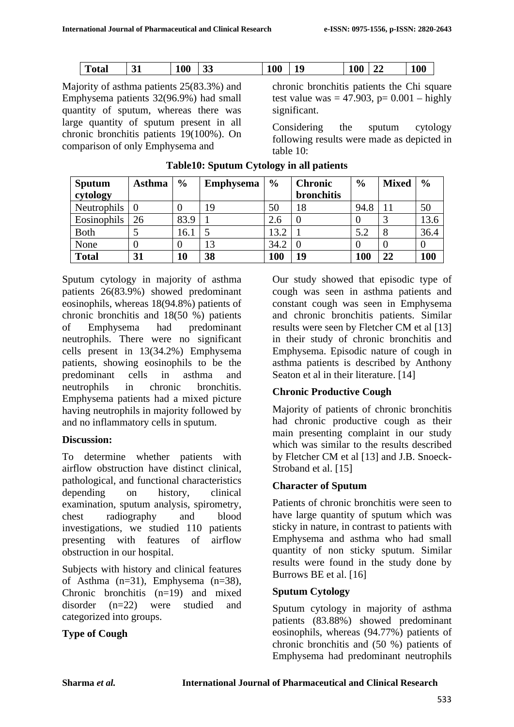|  | m<br>Total | $\sim$<br>ັ | 100 | $\sim$<br>33 | 100 | 10<br>ᆚ | 100<br>TV | ◢◢ | 100 |
|--|------------|-------------|-----|--------------|-----|---------|-----------|----|-----|
|--|------------|-------------|-----|--------------|-----|---------|-----------|----|-----|

Majority of asthma patients 25(83.3%) and Emphysema patients 32(96.9%) had small quantity of sputum, whereas there was large quantity of sputum present in all chronic bronchitis patients 19(100%). On comparison of only Emphysema and

chronic bronchitis patients the Chi square test value was = 47.903,  $p = 0.001 - \text{highly}$ significant.

Considering the sputum cytology following results were made as depicted in table 10:

| <b>Sputum</b> | Asthma | $\frac{6}{9}$ | <b>Emphysema</b> | $\frac{0}{0}$ | <b>Chronic</b>    | $\frac{0}{0}$ | <b>Mixed</b> | $\frac{0}{0}$ |
|---------------|--------|---------------|------------------|---------------|-------------------|---------------|--------------|---------------|
| cytology      |        |               |                  |               | <b>bronchitis</b> |               |              |               |
| Neutrophils   |        | υ             | 19               | 50            | 18                | 94.8          |              | 50            |
| Eosinophils   | 26     | 83.9          |                  | 2.6           |                   |               |              | 13.6          |
| <b>B</b> oth  |        | 16.1          |                  | 13.2          |                   | 5.2           |              | 36.4          |
| None          |        | 0             | 13               | 34.2          |                   |               |              |               |
| <b>Total</b>  | 31     | 10            | 38               | 100           | 19                | 100           | 22           | 100           |

### **Table10: Sputum Cytology in all patients**

Sputum cytology in majority of asthma patients 26(83.9%) showed predominant eosinophils, whereas 18(94.8%) patients of chronic bronchitis and 18(50 %) patients of Emphysema had predominant neutrophils. There were no significant cells present in 13(34.2%) Emphysema patients, showing eosinophils to be the predominant cells in asthma and neutrophils in chronic bronchitis. Emphysema patients had a mixed picture having neutrophils in majority followed by and no inflammatory cells in sputum.

### **Discussion:**

To determine whether patients with airflow obstruction have distinct clinical, pathological, and functional characteristics depending on history, clinical examination, sputum analysis, spirometry, chest radiography and blood investigations, we studied 110 patients presenting with features of airflow obstruction in our hospital.

Subjects with history and clinical features of Asthma  $(n=31)$ , Emphysema  $(n=38)$ , Chronic bronchitis  $(n=19)$  and mixed disorder (n=22) were studied and categorized into groups.

## **Type of Cough**

Our study showed that episodic type of cough was seen in asthma patients and constant cough was seen in Emphysema and chronic bronchitis patients. Similar results were seen by Fletcher CM et al [13] in their study of chronic bronchitis and Emphysema. Episodic nature of cough in asthma patients is described by Anthony Seaton et al in their literature. [14]

## **Chronic Productive Cough**

Majority of patients of chronic bronchitis had chronic productive cough as their main presenting complaint in our study which was similar to the results described by Fletcher CM et al [13] and J.B. Snoeck-Stroband et al. [15]

## **Character of Sputum**

Patients of chronic bronchitis were seen to have large quantity of sputum which was sticky in nature, in contrast to patients with Emphysema and asthma who had small quantity of non sticky sputum. Similar results were found in the study done by Burrows BE et al. [16]

### **Sputum Cytology**

Sputum cytology in majority of asthma patients (83.88%) showed predominant eosinophils, whereas (94.77%) patients of chronic bronchitis and (50 %) patients of Emphysema had predominant neutrophils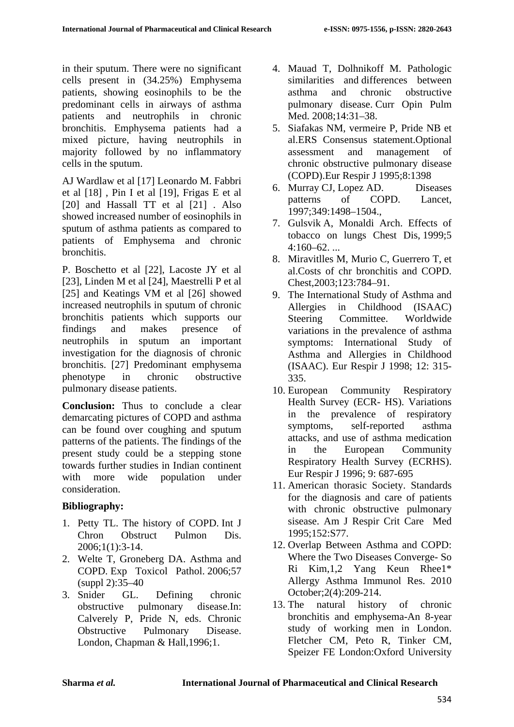in their sputum. There were no significant cells present in (34.25%) Emphysema patients, showing eosinophils to be the predominant cells in airways of asthma patients and neutrophils in chronic bronchitis. Emphysema patients had a mixed picture, having neutrophils in majority followed by no inflammatory cells in the sputum.

AJ Wardlaw et al [17] Leonardo M. Fabbri et al [18] , Pin I et al [19], Frigas E et al [20] and Hassall TT et al [21]. Also showed increased number of eosinophils in sputum of asthma patients as compared to patients of Emphysema and chronic bronchitis.

P. Boschetto et al [22], Lacoste JY et al [23], Linden M et al [24], Maestrelli P et al [25] and Keatings VM et al [26] showed increased neutrophils in sputum of chronic bronchitis patients which supports our findings and makes presence of neutrophils in sputum an important investigation for the diagnosis of chronic bronchitis. [27] Predominant emphysema phenotype in chronic obstructive pulmonary disease patients.

**Conclusion:** Thus to conclude a clear demarcating pictures of COPD and asthma can be found over coughing and sputum patterns of the patients. The findings of the present study could be a stepping stone towards further studies in Indian continent with more wide population under consideration.

### **Bibliography:**

- 1. Petty TL. The history of COPD. Int J Chron Obstruct Pulmon Dis. 2006;1(1):3-14.
- 2. Welte T, Groneberg DA. Asthma and COPD. Exp Toxicol Pathol. 2006;57 (suppl 2):35–40
- 3. Snider GL. Defining chronic obstructive pulmonary disease.In: Calverely P, Pride N, eds. Chronic Obstructive Pulmonary Disease. London, Chapman & Hall,1996;1.
- 4. Mauad T, Dolhnikoff M. Pathologic similarities and differences between asthma and chronic obstructive pulmonary disease. Curr Opin Pulm Med. 2008;14:31–38.
- 5. Siafakas NM, vermeire P, Pride NB et al.ERS Consensus statement.Optional assessment and management of chronic obstructive pulmonary disease (COPD).Eur Respir J 1995;8:1398
- 6. Murray CJ, Lopez AD. Diseases patterns of COPD. Lancet, 1997;349:1498–1504.,
- 7. Gulsvik A, Monaldi Arch. Effects of tobacco on lungs Chest Dis, 1999;5  $4:160-62$ ...
- 8. Miravitlles M, Murio C, Guerrero T, et al.Costs of chr bronchitis and COPD. Chest,2003;123:784–91.
- 9. The International Study of Asthma and Allergies in Childhood (ISAAC) Steering Committee. Worldwide variations in the prevalence of asthma symptoms: International Study of Asthma and Allergies in Childhood (ISAAC). Eur Respir J 1998; 12: 315- 335.
- 10. European Community Respiratory Health Survey (ECR- HS). Variations in the prevalence of respiratory symptoms, self-reported asthma attacks, and use of asthma medication in the European Community Respiratory Health Survey (ECRHS). Eur Respir J 1996; 9: 687-695
- 11. American thorasic Society. Standards for the diagnosis and care of patients with chronic obstructive pulmonary sisease. Am J Respir Crit Care Med 1995;152:S77.
- 12. Overlap Between Asthma and COPD: Where the Two Diseases Converge- So Ri Kim,1,2 Yang Keun Rhee1\* Allergy Asthma Immunol Res. 2010 October;2(4):209-214.
- 13. The natural history of chronic bronchitis and emphysema-An 8-year study of working men in London. Fletcher CM, Peto R, Tinker CM, Speizer FE London:Oxford University